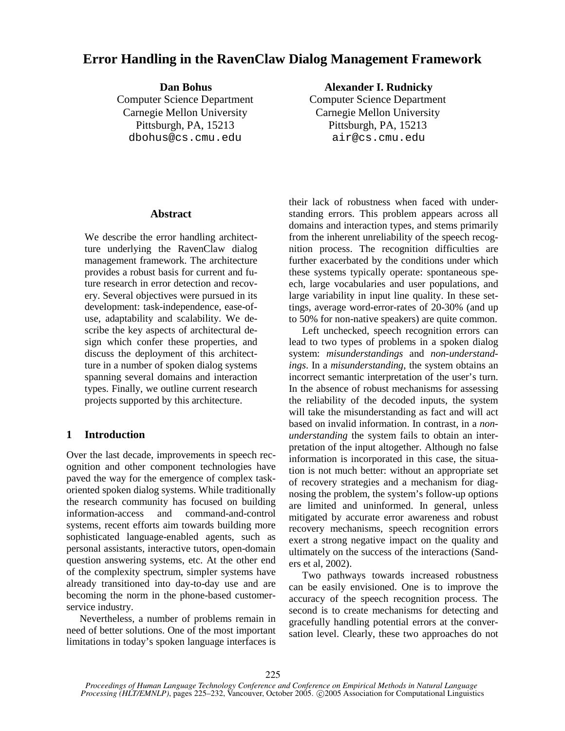# **Error Handling in the RavenClaw Dialog Management Framework**

**Dan Bohus** Computer Science Department Carnegie Mellon University Pittsburgh, PA, 15213 dbohus@cs.cmu.edu

# **Alexander I. Rudnicky**

Computer Science Department Carnegie Mellon University Pittsburgh, PA, 15213 air@cs.cmu.edu

## **Abstract**

We describe the error handling architectture underlying the RavenClaw dialog management framework. The architecture provides a robust basis for current and future research in error detection and recovery. Several objectives were pursued in its development: task-independence, ease-ofuse, adaptability and scalability. We describe the key aspects of architectural design which confer these properties, and discuss the deployment of this architectture in a number of spoken dialog systems spanning several domains and interaction types. Finally, we outline current research projects supported by this architecture.

# **1 Introduction**

Over the last decade, improvements in speech recognition and other component technologies have paved the way for the emergence of complex taskoriented spoken dialog systems. While traditionally the research community has focused on building information-access and command-and-control systems, recent efforts aim towards building more sophisticated language-enabled agents, such as personal assistants, interactive tutors, open-domain question answering systems, etc. At the other end of the complexity spectrum, simpler systems have already transitioned into day-to-day use and are becoming the norm in the phone-based customerservice industry.

Nevertheless, a number of problems remain in need of better solutions. One of the most important limitations in today's spoken language interfaces is their lack of robustness when faced with understanding errors. This problem appears across all domains and interaction types, and stems primarily from the inherent unreliability of the speech recognition process. The recognition difficulties are further exacerbated by the conditions under which these systems typically operate: spontaneous speech, large vocabularies and user populations, and large variability in input line quality. In these settings, average word-error-rates of 20-30% (and up to 50% for non-native speakers) are quite common.

Left unchecked, speech recognition errors can lead to two types of problems in a spoken dialog system: *misunderstandings* and *non-understandings*. In a *misunderstanding*, the system obtains an incorrect semantic interpretation of the user's turn. In the absence of robust mechanisms for assessing the reliability of the decoded inputs, the system will take the misunderstanding as fact and will act based on invalid information. In contrast, in a *nonunderstanding* the system fails to obtain an interpretation of the input altogether. Although no false information is incorporated in this case, the situation is not much better: without an appropriate set of recovery strategies and a mechanism for diagnosing the problem, the system's follow-up options are limited and uninformed. In general, unless mitigated by accurate error awareness and robust recovery mechanisms, speech recognition errors exert a strong negative impact on the quality and ultimately on the success of the interactions (Sanders et al, 2002).

Two pathways towards increased robustness can be easily envisioned. One is to improve the accuracy of the speech recognition process. The second is to create mechanisms for detecting and gracefully handling potential errors at the conversation level. Clearly, these two approaches do not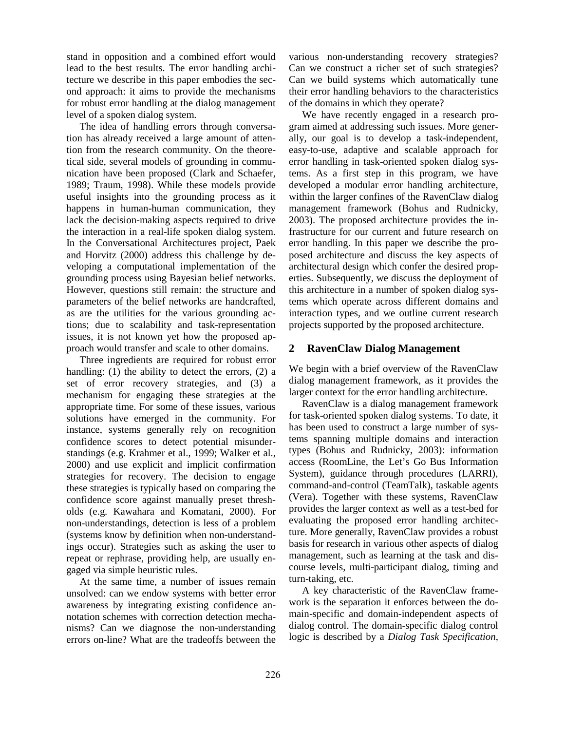stand in opposition and a combined effort would lead to the best results. The error handling architecture we describe in this paper embodies the second approach: it aims to provide the mechanisms for robust error handling at the dialog management level of a spoken dialog system.

The idea of handling errors through conversation has already received a large amount of attention from the research community. On the theoretical side, several models of grounding in communication have been proposed (Clark and Schaefer, 1989; Traum, 1998). While these models provide useful insights into the grounding process as it happens in human-human communication, they lack the decision-making aspects required to drive the interaction in a real-life spoken dialog system. In the Conversational Architectures project, Paek and Horvitz (2000) address this challenge by developing a computational implementation of the grounding process using Bayesian belief networks. However, questions still remain: the structure and parameters of the belief networks are handcrafted, as are the utilities for the various grounding actions; due to scalability and task-representation issues, it is not known yet how the proposed approach would transfer and scale to other domains.

Three ingredients are required for robust error handling: (1) the ability to detect the errors, (2) a set of error recovery strategies, and (3) a mechanism for engaging these strategies at the appropriate time. For some of these issues, various solutions have emerged in the community. For instance, systems generally rely on recognition confidence scores to detect potential misunderstandings (e.g. Krahmer et al., 1999; Walker et al., 2000) and use explicit and implicit confirmation strategies for recovery. The decision to engage these strategies is typically based on comparing the confidence score against manually preset thresholds (e.g. Kawahara and Komatani, 2000). For non-understandings, detection is less of a problem (systems know by definition when non-understandings occur). Strategies such as asking the user to repeat or rephrase, providing help, are usually engaged via simple heuristic rules.

At the same time, a number of issues remain unsolved: can we endow systems with better error awareness by integrating existing confidence annotation schemes with correction detection mechanisms? Can we diagnose the non-understanding errors on-line? What are the tradeoffs between the various non-understanding recovery strategies? Can we construct a richer set of such strategies? Can we build systems which automatically tune their error handling behaviors to the characteristics of the domains in which they operate?

We have recently engaged in a research program aimed at addressing such issues. More generally, our goal is to develop a task-independent, easy-to-use, adaptive and scalable approach for error handling in task-oriented spoken dialog systems. As a first step in this program, we have developed a modular error handling architecture, within the larger confines of the RavenClaw dialog management framework (Bohus and Rudnicky, 2003). The proposed architecture provides the infrastructure for our current and future research on error handling. In this paper we describe the proposed architecture and discuss the key aspects of architectural design which confer the desired properties. Subsequently, we discuss the deployment of this architecture in a number of spoken dialog systems which operate across different domains and interaction types, and we outline current research projects supported by the proposed architecture.

# **2 RavenClaw Dialog Management**

We begin with a brief overview of the RavenClaw dialog management framework, as it provides the larger context for the error handling architecture.

RavenClaw is a dialog management framework for task-oriented spoken dialog systems. To date, it has been used to construct a large number of systems spanning multiple domains and interaction types (Bohus and Rudnicky, 2003): information access (RoomLine, the Let's Go Bus Information System), guidance through procedures (LARRI), command-and-control (TeamTalk), taskable agents (Vera). Together with these systems, RavenClaw provides the larger context as well as a test-bed for evaluating the proposed error handling architecture. More generally, RavenClaw provides a robust basis for research in various other aspects of dialog management, such as learning at the task and discourse levels, multi-participant dialog, timing and turn-taking, etc.

A key characteristic of the RavenClaw framework is the separation it enforces between the domain-specific and domain-independent aspects of dialog control. The domain-specific dialog control logic is described by a *Dialog Task Specification*,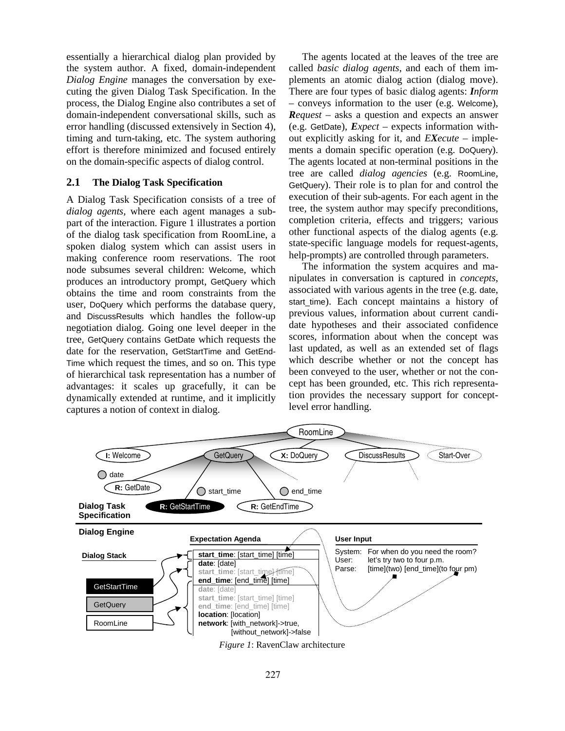essentially a hierarchical dialog plan provided by the system author. A fixed, domain-independent *Dialog Engine* manages the conversation by executing the given Dialog Task Specification. In the process, the Dialog Engine also contributes a set of domain-independent conversational skills, such as error handling (discussed extensively in Section 4), timing and turn-taking, etc. The system authoring effort is therefore minimized and focused entirely on the domain-specific aspects of dialog control.

## **2.1 The Dialog Task Specification**

A Dialog Task Specification consists of a tree of *dialog agents,* where each agent manages a subpart of the interaction. Figure 1 illustrates a portion of the dialog task specification from RoomLine, a spoken dialog system which can assist users in making conference room reservations. The root node subsumes several children: Welcome, which produces an introductory prompt, GetQuery which obtains the time and room constraints from the user, DoQuery which performs the database query, and DiscussResults which handles the follow-up negotiation dialog. Going one level deeper in the tree, GetQuery contains GetDate which requests the date for the reservation, GetStartTime and GetEnd-Time which request the times, and so on. This type of hierarchical task representation has a number of advantages: it scales up gracefully, it can be dynamically extended at runtime, and it implicitly captures a notion of context in dialog.

The agents located at the leaves of the tree are called *basic dialog agents*, and each of them implements an atomic dialog action (dialog move). There are four types of basic dialog agents: *Inform* – conveys information to the user (e.g. Welcome), *Request* – asks a question and expects an answer (e.g. GetDate), *Expect –* expects information without explicitly asking for it, and *EXecute* – implements a domain specific operation (e.g. DoQuery). The agents located at non-terminal positions in the tree are called *dialog agencies* (e.g. RoomLine*,* GetQuery). Their role is to plan for and control the execution of their sub-agents. For each agent in the tree, the system author may specify preconditions, completion criteria, effects and triggers; various other functional aspects of the dialog agents (e.g. state-specific language models for request-agents, help-prompts) are controlled through parameters.

The information the system acquires and manipulates in conversation is captured in *concepts*, associated with various agents in the tree (e.g. date, start time). Each concept maintains a history of previous values, information about current candidate hypotheses and their associated confidence scores, information about when the concept was last updated, as well as an extended set of flags which describe whether or not the concept has been conveyed to the user, whether or not the concept has been grounded, etc. This rich representation provides the necessary support for conceptlevel error handling.



… … … *Figure 1*: RavenClaw architecture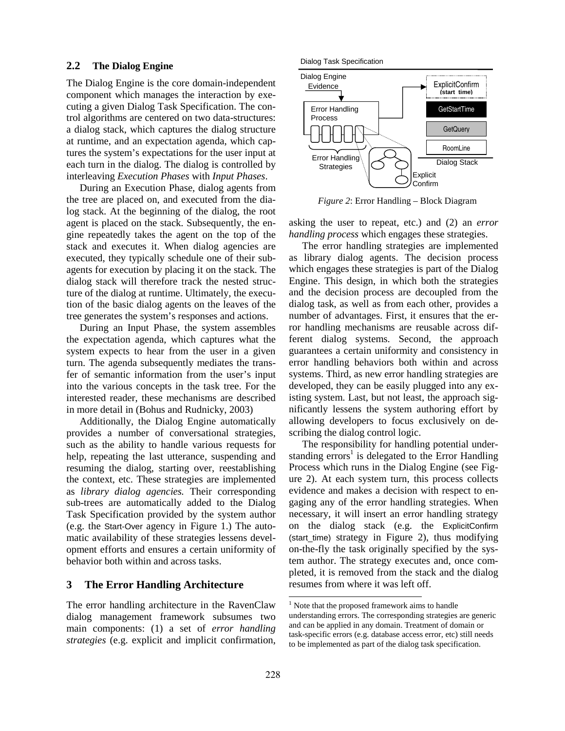#### **2.2 The Dialog Engine**

The Dialog Engine is the core domain-independent component which manages the interaction by executing a given Dialog Task Specification. The control algorithms are centered on two data-structures: a dialog stack, which captures the dialog structure at runtime, and an expectation agenda, which captures the system's expectations for the user input at each turn in the dialog. The dialog is controlled by interleaving *Execution Phases* with *Input Phases*.

During an Execution Phase, dialog agents from the tree are placed on, and executed from the dialog stack. At the beginning of the dialog, the root agent is placed on the stack. Subsequently, the engine repeatedly takes the agent on the top of the stack and executes it. When dialog agencies are executed, they typically schedule one of their subagents for execution by placing it on the stack. The dialog stack will therefore track the nested structure of the dialog at runtime. Ultimately, the execution of the basic dialog agents on the leaves of the tree generates the system's responses and actions.

During an Input Phase, the system assembles the expectation agenda, which captures what the system expects to hear from the user in a given turn. The agenda subsequently mediates the transfer of semantic information from the user's input into the various concepts in the task tree. For the interested reader, these mechanisms are described in more detail in (Bohus and Rudnicky, 2003)

Additionally, the Dialog Engine automatically provides a number of conversational strategies, such as the ability to handle various requests for help, repeating the last utterance, suspending and resuming the dialog, starting over, reestablishing the context, etc. These strategies are implemented as *library dialog agencies.* Their corresponding sub-trees are automatically added to the Dialog Task Specification provided by the system author (e.g. the Start-Over agency in Figure 1.) The automatic availability of these strategies lessens development efforts and ensures a certain uniformity of behavior both within and across tasks.

#### **3 The Error Handling Architecture**

The error handling architecture in the RavenClaw dialog management framework subsumes two main components: (1) a set of *error handling strategies* (e.g. explicit and implicit confirmation,



*Figure 2*: Error Handling – Block Diagram

asking the user to repeat, etc.) and (2) an *error handling process* which engages these strategies.

The error handling strategies are implemented as library dialog agents. The decision process which engages these strategies is part of the Dialog Engine. This design, in which both the strategies and the decision process are decoupled from the dialog task, as well as from each other, provides a number of advantages. First, it ensures that the error handling mechanisms are reusable across different dialog systems. Second, the approach guarantees a certain uniformity and consistency in error handling behaviors both within and across systems. Third, as new error handling strategies are developed, they can be easily plugged into any existing system. Last, but not least, the approach significantly lessens the system authoring effort by allowing developers to focus exclusively on describing the dialog control logic.

The responsibility for handling potential understanding errors<sup>1</sup> is delegated to the Error Handling Process which runs in the Dialog Engine (see Figure 2). At each system turn, this process collects evidence and makes a decision with respect to engaging any of the error handling strategies. When necessary, it will insert an error handling strategy on the dialog stack (e.g. the ExplicitConfirm (start\_time) strategy in Figure 2), thus modifying on-the-fly the task originally specified by the system author. The strategy executes and, once completed, it is removed from the stack and the dialog resumes from where it was left off.

<sup>&</sup>lt;sup>1</sup> Note that the proposed framework aims to handle understanding errors. The corresponding strategies are generic and can be applied in any domain. Treatment of domain or task-specific errors (e.g. database access error, etc) still needs to be implemented as part of the dialog task specification.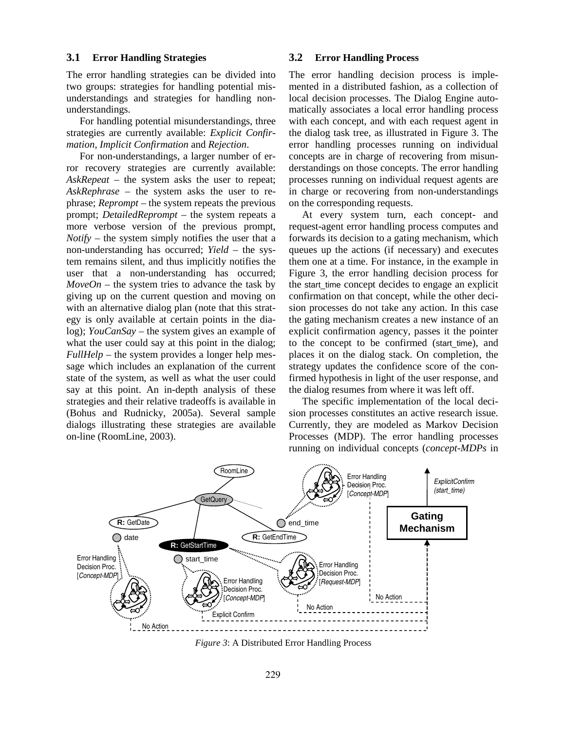#### **3.1 Error Handling Strategies**

The error handling strategies can be divided into two groups: strategies for handling potential misunderstandings and strategies for handling nonunderstandings.

For handling potential misunderstandings, three strategies are currently available: *Explicit Confirmation*, *Implicit Confirmation* and *Rejection*.

For non-understandings, a larger number of error recovery strategies are currently available: *AskRepeat* – the system asks the user to repeat; *AskRephrase* – the system asks the user to rephrase; *Reprompt* – the system repeats the previous prompt; *DetailedReprompt* – the system repeats a more verbose version of the previous prompt, *Notify* – the system simply notifies the user that a non-understanding has occurred; *Yield* – the system remains silent, and thus implicitly notifies the user that a non-understanding has occurred;  $MoveOn$  – the system tries to advance the task by giving up on the current question and moving on with an alternative dialog plan (note that this strategy is only available at certain points in the dialog); *YouCanSay* – the system gives an example of what the user could say at this point in the dialog; *FullHelp* – the system provides a longer help message which includes an explanation of the current state of the system, as well as what the user could say at this point. An in-depth analysis of these strategies and their relative tradeoffs is available in (Bohus and Rudnicky, 2005a). Several sample dialogs illustrating these strategies are available on-line (RoomLine, 2003).

#### **3.2 Error Handling Process**

The error handling decision process is implemented in a distributed fashion, as a collection of local decision processes. The Dialog Engine automatically associates a local error handling process with each concept, and with each request agent in the dialog task tree, as illustrated in Figure 3. The error handling processes running on individual concepts are in charge of recovering from misunderstandings on those concepts. The error handling processes running on individual request agents are in charge or recovering from non-understandings on the corresponding requests.

At every system turn, each concept- and request-agent error handling process computes and forwards its decision to a gating mechanism, which queues up the actions (if necessary) and executes them one at a time. For instance, in the example in Figure 3, the error handling decision process for the start\_time concept decides to engage an explicit confirmation on that concept, while the other decision processes do not take any action. In this case the gating mechanism creates a new instance of an explicit confirmation agency, passes it the pointer to the concept to be confirmed (start\_time), and places it on the dialog stack. On completion, the strategy updates the confidence score of the confirmed hypothesis in light of the user response, and the dialog resumes from where it was left off.

The specific implementation of the local decision processes constitutes an active research issue. Currently, they are modeled as Markov Decision Processes (MDP). The error handling processes running on individual concepts (*concept-MDPs* in



*Figure 3*: A Distributed Error Handling Process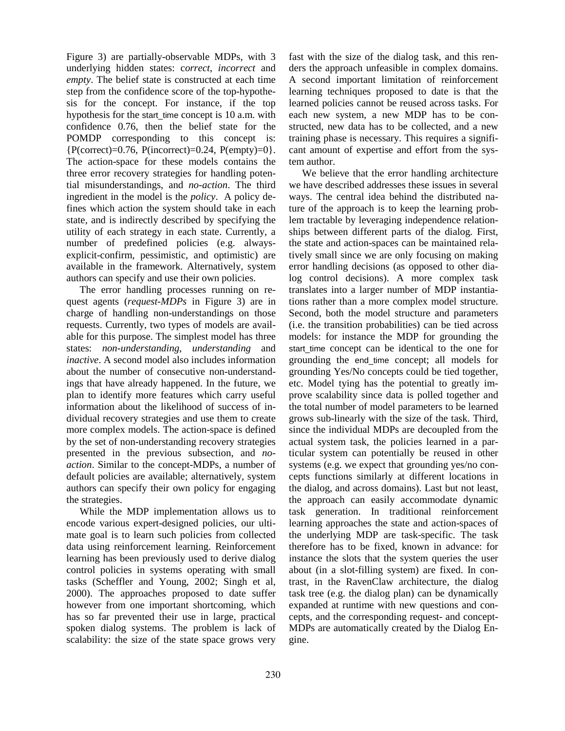Figure 3) are partially-observable MDPs, with 3 underlying hidden states: c*orrect*, *incorrect* and *empty*. The belief state is constructed at each time step from the confidence score of the top-hypothesis for the concept. For instance, if the top hypothesis for the start\_time concept is 10 a.m. with confidence 0.76, then the belief state for the POMDP corresponding to this concept is:  ${P(correct)=0.76, P(incorrect)=0.24, P(empty)=0}.$ The action-space for these models contains the three error recovery strategies for handling potential misunderstandings, and *no-action*. The third ingredient in the model is the *policy*. A policy defines which action the system should take in each state, and is indirectly described by specifying the utility of each strategy in each state. Currently, a number of predefined policies (e.g. alwaysexplicit-confirm, pessimistic, and optimistic) are available in the framework. Alternatively, system authors can specify and use their own policies.

The error handling processes running on request agents (*request-MDPs* in Figure 3) are in charge of handling non-understandings on those requests. Currently, two types of models are available for this purpose. The simplest model has three states: *non-understanding*, *understanding* and *inactive*. A second model also includes information about the number of consecutive non-understandings that have already happened. In the future, we plan to identify more features which carry useful information about the likelihood of success of individual recovery strategies and use them to create more complex models. The action-space is defined by the set of non-understanding recovery strategies presented in the previous subsection, and *noaction*. Similar to the concept-MDPs, a number of default policies are available; alternatively, system authors can specify their own policy for engaging the strategies.

While the MDP implementation allows us to encode various expert-designed policies, our ultimate goal is to learn such policies from collected data using reinforcement learning. Reinforcement learning has been previously used to derive dialog control policies in systems operating with small tasks (Scheffler and Young, 2002; Singh et al, 2000). The approaches proposed to date suffer however from one important shortcoming, which has so far prevented their use in large, practical spoken dialog systems. The problem is lack of scalability: the size of the state space grows very fast with the size of the dialog task, and this renders the approach unfeasible in complex domains. A second important limitation of reinforcement learning techniques proposed to date is that the learned policies cannot be reused across tasks. For each new system, a new MDP has to be constructed, new data has to be collected, and a new training phase is necessary. This requires a significant amount of expertise and effort from the system author.

We believe that the error handling architecture we have described addresses these issues in several ways. The central idea behind the distributed nature of the approach is to keep the learning problem tractable by leveraging independence relationships between different parts of the dialog. First, the state and action-spaces can be maintained relatively small since we are only focusing on making error handling decisions (as opposed to other dialog control decisions). A more complex task translates into a larger number of MDP instantiations rather than a more complex model structure. Second, both the model structure and parameters (i.e. the transition probabilities) can be tied across models: for instance the MDP for grounding the start\_time concept can be identical to the one for grounding the end\_time concept; all models for grounding Yes/No concepts could be tied together, etc. Model tying has the potential to greatly improve scalability since data is polled together and the total number of model parameters to be learned grows sub-linearly with the size of the task. Third, since the individual MDPs are decoupled from the actual system task, the policies learned in a particular system can potentially be reused in other systems (e.g. we expect that grounding yes/no concepts functions similarly at different locations in the dialog, and across domains). Last but not least, the approach can easily accommodate dynamic task generation. In traditional reinforcement learning approaches the state and action-spaces of the underlying MDP are task-specific. The task therefore has to be fixed, known in advance: for instance the slots that the system queries the user about (in a slot-filling system) are fixed. In contrast, in the RavenClaw architecture, the dialog task tree (e.g. the dialog plan) can be dynamically expanded at runtime with new questions and concepts, and the corresponding request- and concept-MDPs are automatically created by the Dialog Engine.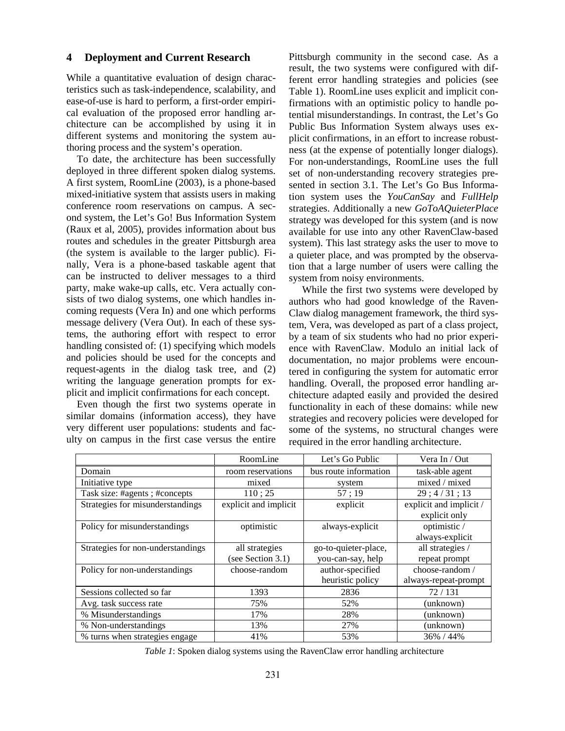# **4 Deployment and Current Research**

While a quantitative evaluation of design characteristics such as task-independence, scalability, and ease-of-use is hard to perform, a first-order empirical evaluation of the proposed error handling architecture can be accomplished by using it in different systems and monitoring the system authoring process and the system's operation.

To date, the architecture has been successfully deployed in three different spoken dialog systems. A first system, RoomLine (2003), is a phone-based mixed-initiative system that assists users in making conference room reservations on campus. A second system, the Let's Go! Bus Information System (Raux et al, 2005), provides information about bus routes and schedules in the greater Pittsburgh area (the system is available to the larger public). Finally, Vera is a phone-based taskable agent that can be instructed to deliver messages to a third party, make wake-up calls, etc. Vera actually consists of two dialog systems, one which handles incoming requests (Vera In) and one which performs message delivery (Vera Out). In each of these systems, the authoring effort with respect to error handling consisted of: (1) specifying which models and policies should be used for the concepts and request-agents in the dialog task tree, and (2) writing the language generation prompts for explicit and implicit confirmations for each concept.

Even though the first two systems operate in similar domains (information access), they have very different user populations: students and faculty on campus in the first case versus the entire Pittsburgh community in the second case. As a result, the two systems were configured with different error handling strategies and policies (see Table 1). RoomLine uses explicit and implicit confirmations with an optimistic policy to handle potential misunderstandings. In contrast, the Let's Go Public Bus Information System always uses explicit confirmations, in an effort to increase robustness (at the expense of potentially longer dialogs). For non-understandings, RoomLine uses the full set of non-understanding recovery strategies presented in section 3.1. The Let's Go Bus Information system uses the *YouCanSay* and *FullHelp* strategies. Additionally a new *GoToAQuieterPlace* strategy was developed for this system (and is now available for use into any other RavenClaw-based system). This last strategy asks the user to move to a quieter place, and was prompted by the observation that a large number of users were calling the system from noisy environments.

While the first two systems were developed by authors who had good knowledge of the Raven-Claw dialog management framework, the third system, Vera, was developed as part of a class project, by a team of six students who had no prior experience with RavenClaw. Modulo an initial lack of documentation, no major problems were encountered in configuring the system for automatic error handling. Overall, the proposed error handling architecture adapted easily and provided the desired functionality in each of these domains: while new strategies and recovery policies were developed for some of the systems, no structural changes were required in the error handling architecture.

|                                   | RoomLine              | Let's Go Public       | Vera In / Out           |
|-----------------------------------|-----------------------|-----------------------|-------------------------|
| Domain                            | room reservations     | bus route information | task-able agent         |
| Initiative type                   | mixed                 | system                | mixed / mixed           |
| Task size: #agents ; #concepts    | 110; 25               | 57:19                 | 29:4/31:13              |
| Strategies for misunderstandings  | explicit and implicit | explicit              | explicit and implicit / |
|                                   |                       |                       | explicit only           |
| Policy for misunderstandings      | optimistic            | always-explicit       | optimistic /            |
|                                   |                       |                       | always-explicit         |
| Strategies for non-understandings | all strategies        | go-to-quieter-place,  | all strategies /        |
|                                   | (see Section 3.1)     | you-can-say, help     | repeat prompt           |
| Policy for non-understandings     | choose-random         | author-specified      | choose-random /         |
|                                   |                       | heuristic policy      | always-repeat-prompt    |
| Sessions collected so far         | 1393                  | 2836                  | 72/131                  |
| Avg. task success rate            | 75%                   | 52%                   | (unknown)               |
| % Misunderstandings               | 17%                   | 28%                   | (unknown)               |
| % Non-understandings              | 13%                   | 27%                   | (unknown)               |
| % turns when strategies engage    | 41%                   | 53%                   | 36% / 44%               |

*Table 1*: Spoken dialog systems using the RavenClaw error handling architecture